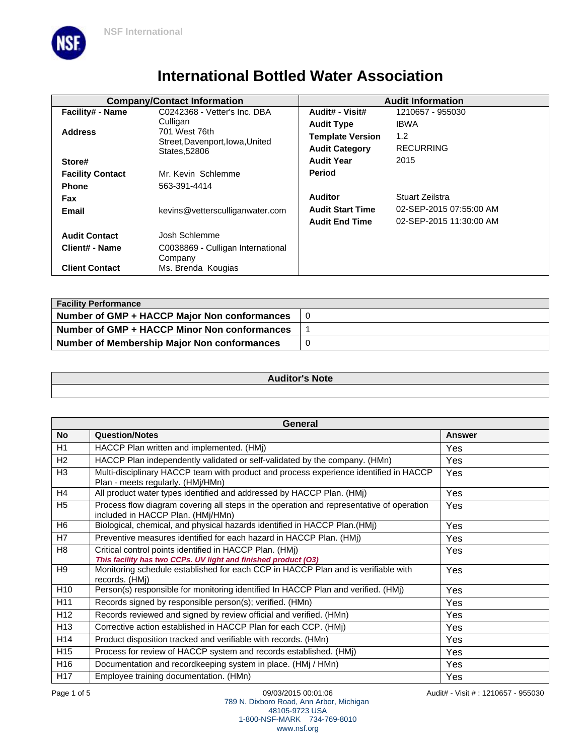

# **International Bottled Water Association**

|                         | <b>Company/Contact Information</b>               | <b>Audit Information</b> |                         |
|-------------------------|--------------------------------------------------|--------------------------|-------------------------|
| Facility# - Name        | C0242368 - Vetter's Inc. DBA                     | Audit# - Visit#          | 1210657 - 955030        |
|                         | Culligan                                         | <b>Audit Type</b>        | <b>IBWA</b>             |
| <b>Address</b>          | 701 West 76th<br>Street, Davenport, Iowa, United | <b>Template Version</b>  | 1.2                     |
|                         | States, 52806                                    | <b>Audit Category</b>    | <b>RECURRING</b>        |
| Store#                  |                                                  | <b>Audit Year</b>        | 2015                    |
| <b>Facility Contact</b> | Mr. Kevin Schlemme                               | <b>Period</b>            |                         |
| <b>Phone</b>            | 563-391-4414                                     |                          |                         |
| <b>Fax</b>              |                                                  | <b>Auditor</b>           | Stuart Zeilstra         |
| Email                   | kevins@vettersculliganwater.com                  | <b>Audit Start Time</b>  | 02-SEP-2015 07:55:00 AM |
|                         |                                                  | <b>Audit End Time</b>    | 02-SEP-2015 11:30:00 AM |
| <b>Audit Contact</b>    | Josh Schlemme                                    |                          |                         |
| <b>Client# - Name</b>   | C0038869 - Culligan International<br>Company     |                          |                         |
| <b>Client Contact</b>   | Ms. Brenda Kougias                               |                          |                         |

| <b>Facility Performance</b>                  |   |  |
|----------------------------------------------|---|--|
| Number of GMP + HACCP Major Non conformances |   |  |
| Number of GMP + HACCP Minor Non conformances |   |  |
| Number of Membership Major Non conformances  | 0 |  |

### **Auditor's Note**

| General         |                                                                                                                               |               |
|-----------------|-------------------------------------------------------------------------------------------------------------------------------|---------------|
| No              | <b>Question/Notes</b>                                                                                                         | <b>Answer</b> |
| H1              | HACCP Plan written and implemented. (HMj)                                                                                     | Yes           |
| H2              | HACCP Plan independently validated or self-validated by the company. (HMn)                                                    | Yes           |
| H <sub>3</sub>  | Multi-disciplinary HACCP team with product and process experience identified in HACCP<br>Plan - meets regularly. (HMi/HMn)    | Yes           |
| H4              | All product water types identified and addressed by HACCP Plan. (HMj)                                                         | Yes           |
| H <sub>5</sub>  | Process flow diagram covering all steps in the operation and representative of operation<br>included in HACCP Plan. (HMj/HMn) | Yes           |
| H <sub>6</sub>  | Biological, chemical, and physical hazards identified in HACCP Plan.(HMj)                                                     | Yes           |
| H7              | Preventive measures identified for each hazard in HACCP Plan. (HMj)                                                           | Yes           |
| H <sub>8</sub>  | Critical control points identified in HACCP Plan. (HMj)<br>This facility has two CCPs. UV light and finished product (O3)     | Yes           |
| H <sub>9</sub>  | Monitoring schedule established for each CCP in HACCP Plan and is verifiable with<br>records. (HMi)                           | Yes           |
| H <sub>10</sub> | Person(s) responsible for monitoring identified In HACCP Plan and verified. (HMj)                                             | Yes           |
| H11             | Records signed by responsible person(s); verified. (HMn)                                                                      | Yes           |
| H <sub>12</sub> | Records reviewed and signed by review official and verified. (HMn)                                                            | Yes           |
| H <sub>13</sub> | Corrective action established in HACCP Plan for each CCP. (HMj)                                                               | Yes           |
| H14             | Product disposition tracked and verifiable with records. (HMn)                                                                | Yes           |
| H <sub>15</sub> | Process for review of HACCP system and records established. (HMj)                                                             | Yes           |
| H <sub>16</sub> | Documentation and recordkeeping system in place. (HMj / HMn)                                                                  | Yes           |
| H <sub>17</sub> | Employee training documentation. (HMn)                                                                                        | Yes           |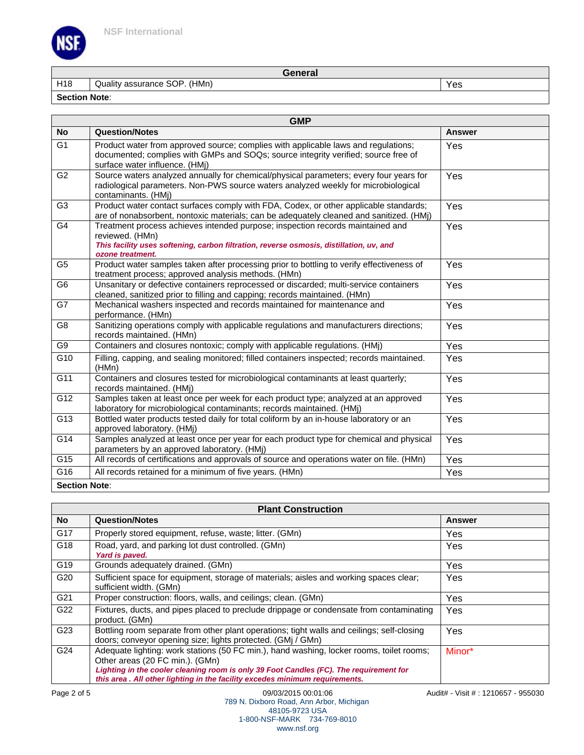

**General**

H18 Quality assurance SOP. (HMn) Yes

**Section Note**:

|                      | <b>GMP</b>                                                                                                                                                                                                       |               |  |  |
|----------------------|------------------------------------------------------------------------------------------------------------------------------------------------------------------------------------------------------------------|---------------|--|--|
| <b>No</b>            | <b>Question/Notes</b>                                                                                                                                                                                            | <b>Answer</b> |  |  |
| $\overline{G1}$      | Product water from approved source; complies with applicable laws and regulations;<br>documented; complies with GMPs and SOQs; source integrity verified; source free of<br>surface water influence. (HMj)       | Yes           |  |  |
| G <sub>2</sub>       | Source waters analyzed annually for chemical/physical parameters; every four years for<br>radiological parameters. Non-PWS source waters analyzed weekly for microbiological<br>contaminants. (HMj)              | Yes           |  |  |
| G <sub>3</sub>       | Product water contact surfaces comply with FDA, Codex, or other applicable standards;<br>are of nonabsorbent, nontoxic materials; can be adequately cleaned and sanitized. (HMi)                                 | Yes           |  |  |
| G4                   | Treatment process achieves intended purpose; inspection records maintained and<br>reviewed. (HMn)<br>This facility uses softening, carbon filtration, reverse osmosis, distillation, uv, and<br>ozone treatment. | Yes           |  |  |
| $\overline{G5}$      | Product water samples taken after processing prior to bottling to verify effectiveness of<br>treatment process; approved analysis methods. (HMn)                                                                 | Yes           |  |  |
| $\overline{G6}$      | Unsanitary or defective containers reprocessed or discarded; multi-service containers<br>cleaned, sanitized prior to filling and capping; records maintained. (HMn)                                              | Yes           |  |  |
| G7                   | Mechanical washers inspected and records maintained for maintenance and<br>performance. (HMn)                                                                                                                    | Yes           |  |  |
| G <sub>8</sub>       | Sanitizing operations comply with applicable regulations and manufacturers directions;<br>records maintained. (HMn)                                                                                              | Yes           |  |  |
| G9                   | Containers and closures nontoxic; comply with applicable regulations. (HMj)                                                                                                                                      | Yes           |  |  |
| G10                  | Filling, capping, and sealing monitored; filled containers inspected; records maintained.<br>(HMn)                                                                                                               | Yes           |  |  |
| G11                  | Containers and closures tested for microbiological contaminants at least quarterly;<br>records maintained. (HMi)                                                                                                 | Yes           |  |  |
| G12                  | Samples taken at least once per week for each product type; analyzed at an approved<br>laboratory for microbiological contaminants; records maintained. (HMj)                                                    | Yes           |  |  |
| G <sub>13</sub>      | Bottled water products tested daily for total coliform by an in-house laboratory or an<br>approved laboratory. (HMj)                                                                                             | Yes           |  |  |
| G14                  | Samples analyzed at least once per year for each product type for chemical and physical<br>parameters by an approved laboratory. (HMj)                                                                           | Yes           |  |  |
| G15                  | All records of certifications and approvals of source and operations water on file. (HMn)                                                                                                                        | Yes           |  |  |
| G16                  | All records retained for a minimum of five years. (HMn)                                                                                                                                                          | Yes           |  |  |
| <b>Section Note:</b> |                                                                                                                                                                                                                  |               |  |  |

| <b>Plant Construction</b> |                                                                                                                                                                                                                                                                                                       |            |
|---------------------------|-------------------------------------------------------------------------------------------------------------------------------------------------------------------------------------------------------------------------------------------------------------------------------------------------------|------------|
| No                        | <b>Question/Notes</b>                                                                                                                                                                                                                                                                                 | Answer     |
| G17                       | Properly stored equipment, refuse, waste; litter. (GMn)                                                                                                                                                                                                                                               | <b>Yes</b> |
| G18                       | Road, yard, and parking lot dust controlled. (GMn)<br>Yard is paved.                                                                                                                                                                                                                                  | Yes        |
| G <sub>19</sub>           | Grounds adequately drained. (GMn)                                                                                                                                                                                                                                                                     | Yes        |
| G20                       | Sufficient space for equipment, storage of materials; aisles and working spaces clear;<br>sufficient width. (GMn)                                                                                                                                                                                     | Yes        |
| G21                       | Proper construction: floors, walls, and ceilings; clean. (GMn)                                                                                                                                                                                                                                        | Yes        |
| G22                       | Fixtures, ducts, and pipes placed to preclude drippage or condensate from contaminating<br>product. (GMn)                                                                                                                                                                                             | <b>Yes</b> |
| G <sub>23</sub>           | Bottling room separate from other plant operations; tight walls and ceilings; self-closing<br>doors; conveyor opening size; lights protected. (GMj / GMn)                                                                                                                                             | Yes        |
| G24                       | Adequate lighting: work stations (50 FC min.), hand washing, locker rooms, toilet rooms;<br>Other areas (20 FC min.). (GMn)<br>Lighting in the cooler cleaning room is only 39 Foot Candles (FC). The requirement for<br>this area . All other lighting in the facility excedes minimum requirements. | Minor*     |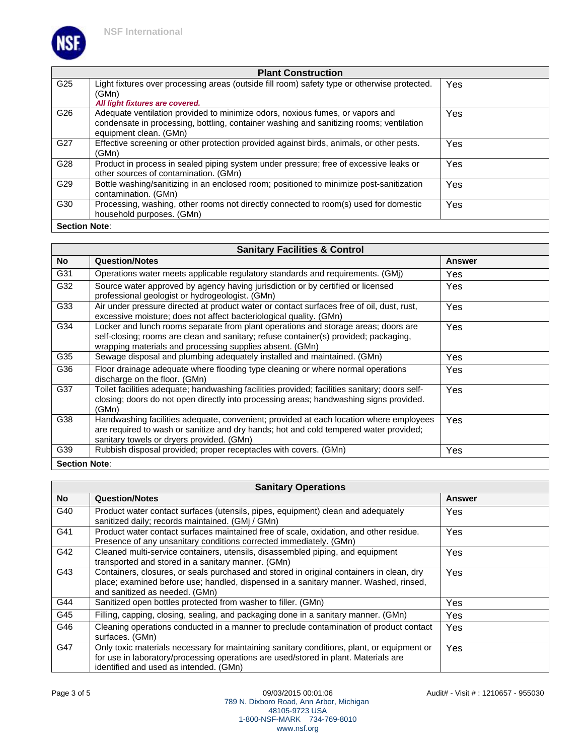

#### **Plant Construction** G25 | Light fixtures over processing areas (outside fill room) safety type or otherwise protected. (GMn) **All light fixtures are covered.** Yes G26 Adequate ventilation provided to minimize odors, noxious fumes, or vapors and condensate in processing, bottling, container washing and sanitizing rooms; ventilation equipment clean. (GMn) Yes G27 | Effective screening or other protection provided against birds, animals, or other pests. (GMn) Yes G28 Product in process in sealed piping system under pressure; free of excessive leaks or other sources of contamination. (GMn) Yes G29 Bottle washing/sanitizing in an enclosed room; positioned to minimize post-sanitization contamination. (GMn) Yes G30 Processing, washing, other rooms not directly connected to room(s) used for domestic household purposes. (GMn) Yes **Section Note**:

| <b>Sanitary Facilities &amp; Control</b> |                                                                                                                                                                                                                                        |               |  |
|------------------------------------------|----------------------------------------------------------------------------------------------------------------------------------------------------------------------------------------------------------------------------------------|---------------|--|
| No                                       | <b>Question/Notes</b>                                                                                                                                                                                                                  | <b>Answer</b> |  |
| G31                                      | Operations water meets applicable regulatory standards and requirements. (GMj)                                                                                                                                                         | Yes           |  |
| G32                                      | Source water approved by agency having jurisdiction or by certified or licensed<br>professional geologist or hydrogeologist. (GMn)                                                                                                     | Yes           |  |
| G33                                      | Air under pressure directed at product water or contact surfaces free of oil, dust, rust,<br>excessive moisture; does not affect bacteriological quality. (GMn)                                                                        | <b>Yes</b>    |  |
| G34                                      | Locker and lunch rooms separate from plant operations and storage areas; doors are<br>self-closing; rooms are clean and sanitary; refuse container(s) provided; packaging,<br>wrapping materials and processing supplies absent. (GMn) | Yes           |  |
| G35                                      | Sewage disposal and plumbing adequately installed and maintained. (GMn)                                                                                                                                                                | Yes           |  |
| G36                                      | Floor drainage adequate where flooding type cleaning or where normal operations<br>discharge on the floor. (GMn)                                                                                                                       | Yes           |  |
| G37                                      | Toilet facilities adequate; handwashing facilities provided; facilities sanitary; doors self-<br>closing; doors do not open directly into processing areas; handwashing signs provided.<br>(GMn)                                       | Yes           |  |
| G38                                      | Handwashing facilities adequate, convenient; provided at each location where employees<br>are required to wash or sanitize and dry hands; hot and cold tempered water provided;<br>sanitary towels or dryers provided. (GMn)           | Yes           |  |
| G39                                      | Rubbish disposal provided; proper receptacles with covers. (GMn)                                                                                                                                                                       | Yes           |  |
|                                          | <b>Section Note:</b>                                                                                                                                                                                                                   |               |  |

| <b>Sanitary Operations</b> |                                                                                                                                                                                                                             |               |
|----------------------------|-----------------------------------------------------------------------------------------------------------------------------------------------------------------------------------------------------------------------------|---------------|
| No l                       | <b>Question/Notes</b>                                                                                                                                                                                                       | <b>Answer</b> |
| G40                        | Product water contact surfaces (utensils, pipes, equipment) clean and adequately<br>sanitized daily; records maintained. (GMi / GMn)                                                                                        | Yes           |
| G41                        | Product water contact surfaces maintained free of scale, oxidation, and other residue.<br>Presence of any unsanitary conditions corrected immediately. (GMn)                                                                | <b>Yes</b>    |
| G42                        | Cleaned multi-service containers, utensils, disassembled piping, and equipment<br>transported and stored in a sanitary manner. (GMn)                                                                                        | Yes           |
| G43                        | Containers, closures, or seals purchased and stored in original containers in clean, dry<br>place; examined before use; handled, dispensed in a sanitary manner. Washed, rinsed,<br>and sanitized as needed. (GMn)          | <b>Yes</b>    |
| G44                        | Sanitized open bottles protected from washer to filler. (GMn)                                                                                                                                                               | Yes.          |
| G45                        | Filling, capping, closing, sealing, and packaging done in a sanitary manner. (GMn)                                                                                                                                          | <b>Yes</b>    |
| G46                        | Cleaning operations conducted in a manner to preclude contamination of product contact<br>surfaces. (GMn)                                                                                                                   | Yes           |
| G47                        | Only toxic materials necessary for maintaining sanitary conditions, plant, or equipment or<br>for use in laboratory/processing operations are used/stored in plant. Materials are<br>identified and used as intended. (GMn) | Yes           |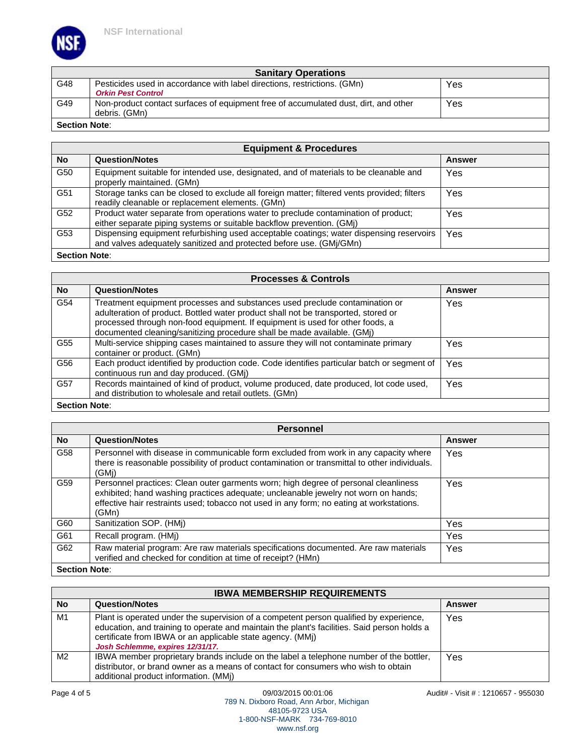VS.

| <b>Sanitary Operations</b> |                                                                                     |     |
|----------------------------|-------------------------------------------------------------------------------------|-----|
| G48                        | Pesticides used in accordance with label directions, restrictions. (GMn)            | Yes |
|                            | <b>Orkin Pest Control</b>                                                           |     |
| G49                        | Non-product contact surfaces of equipment free of accumulated dust, dirt, and other | Yes |
|                            | debris. (GMn)                                                                       |     |
| <b>Section Note:</b>       |                                                                                     |     |

| <b>Equipment &amp; Procedures</b> |                                                                                                                                                                |        |  |
|-----------------------------------|----------------------------------------------------------------------------------------------------------------------------------------------------------------|--------|--|
| <b>No</b>                         | <b>Question/Notes</b>                                                                                                                                          | Answer |  |
| G50                               | Equipment suitable for intended use, designated, and of materials to be cleanable and<br>properly maintained. (GMn)                                            | Yes    |  |
| G51                               | Storage tanks can be closed to exclude all foreign matter; filtered vents provided; filters<br>readily cleanable or replacement elements. (GMn)                | Yes    |  |
| G52                               | Product water separate from operations water to preclude contamination of product;<br>either separate piping systems or suitable backflow prevention. (GMj)    | Yes    |  |
| G53                               | Dispensing equipment refurbishing used acceptable coatings; water dispensing reservoirs<br>and valves adequately sanitized and protected before use. (GMj/GMn) | Yes    |  |
| <b>Section Note:</b>              |                                                                                                                                                                |        |  |

| <b>Processes &amp; Controls</b> |                                                                                                                                                                                                                                                                                                                               |               |
|---------------------------------|-------------------------------------------------------------------------------------------------------------------------------------------------------------------------------------------------------------------------------------------------------------------------------------------------------------------------------|---------------|
| <b>No</b>                       | <b>Question/Notes</b>                                                                                                                                                                                                                                                                                                         | <b>Answer</b> |
| G54                             | Treatment equipment processes and substances used preclude contamination or<br>adulteration of product. Bottled water product shall not be transported, stored or<br>processed through non-food equipment. If equipment is used for other foods, a<br>documented cleaning/sanitizing procedure shall be made available. (GMi) | <b>Yes</b>    |
| G55                             | Multi-service shipping cases maintained to assure they will not contaminate primary<br>container or product. (GMn)                                                                                                                                                                                                            | Yes           |
| G56                             | Each product identified by production code. Code identifies particular batch or segment of<br>continuous run and day produced. (GMi)                                                                                                                                                                                          | Yes           |
| G57                             | Records maintained of kind of product, volume produced, date produced, lot code used,<br>and distribution to wholesale and retail outlets. (GMn)                                                                                                                                                                              | Yes           |
| <b>Section Note:</b>            |                                                                                                                                                                                                                                                                                                                               |               |

| <b>Personnel</b>     |                                                                                                                                                                                                                                                                                |               |  |
|----------------------|--------------------------------------------------------------------------------------------------------------------------------------------------------------------------------------------------------------------------------------------------------------------------------|---------------|--|
| <b>No</b>            | <b>Question/Notes</b>                                                                                                                                                                                                                                                          | <b>Answer</b> |  |
| G58                  | Personnel with disease in communicable form excluded from work in any capacity where<br>there is reasonable possibility of product contamination or transmittal to other individuals.<br>(GMi)                                                                                 | Yes           |  |
| G59                  | Personnel practices: Clean outer garments worn; high degree of personal cleanliness<br>exhibited; hand washing practices adequate; uncleanable jewelry not worn on hands;<br>effective hair restraints used; tobacco not used in any form; no eating at workstations.<br>(GMn) | Yes           |  |
| G60                  | Sanitization SOP. (HMi)                                                                                                                                                                                                                                                        | Yes           |  |
| G61                  | Recall program. (HMj)                                                                                                                                                                                                                                                          | Yes           |  |
| G62                  | Raw material program: Are raw materials specifications documented. Are raw materials<br>verified and checked for condition at time of receipt? (HMn)                                                                                                                           | Yes           |  |
| <b>Section Note:</b> |                                                                                                                                                                                                                                                                                |               |  |

### **IBWA MEMBERSHIP REQUIREMENTS**

| <b>No</b> | <b>Question/Notes</b>                                                                                                                                                                                                                                                                   | Answer |
|-----------|-----------------------------------------------------------------------------------------------------------------------------------------------------------------------------------------------------------------------------------------------------------------------------------------|--------|
| M1        | Plant is operated under the supervision of a competent person qualified by experience,<br>education, and training to operate and maintain the plant's facilities. Said person holds a<br>certificate from IBWA or an applicable state agency. (MMi)<br>Josh Schlemme, expires 12/31/17. | Yes    |
| M2        | IBWA member proprietary brands include on the label a telephone number of the bottler,<br>distributor, or brand owner as a means of contact for consumers who wish to obtain<br>additional product information. (MMi)                                                                   | Yes    |